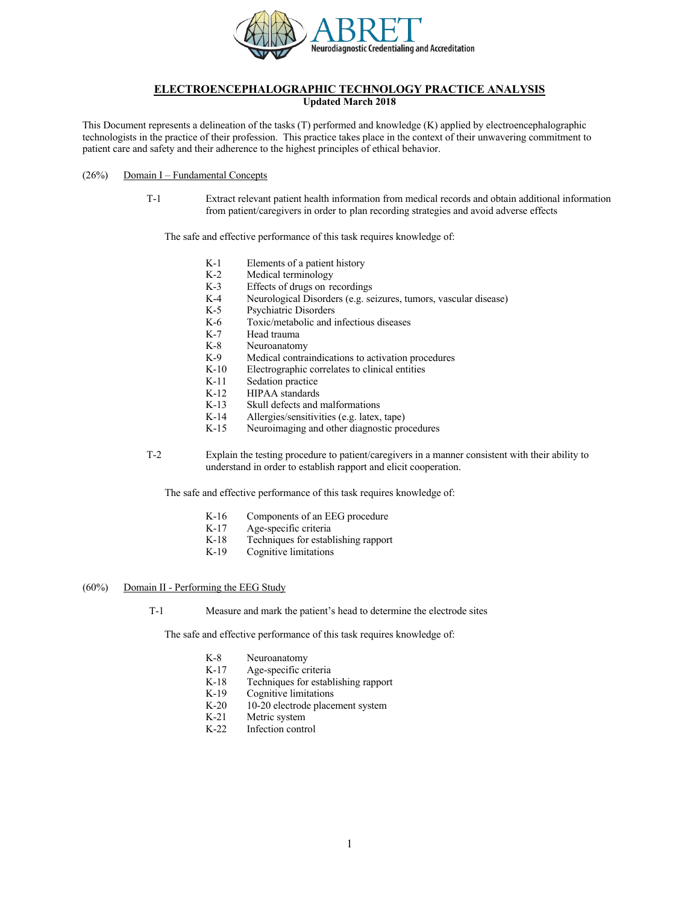

# **ELECTROENCEPHALOGRAPHIC TECHNOLOGY PRACTICE ANALYSIS**

**Updated March 2018**

This Document represents a delineation of the tasks (T) performed and knowledge (K) applied by electroencephalographic technologists in the practice of their profession. This practice takes place in the context of their unwavering commitment to patient care and safety and their adherence to the highest principles of ethical behavior.

## $(26%)$  Domain I – Fundamental Concepts

T-1 Extract relevant patient health information from medical records and obtain additional information from patient/caregivers in order to plan recording strategies and avoid adverse effects

The safe and effective performance of this task requires knowledge of:

- K-1 Elements of a patient history
- K-2 Medical terminology
- K-3 Effects of drugs on recordings
- K-4 Neurological Disorders (e.g. seizures, tumors, vascular disease)
- K-5 Psychiatric Disorders
- K-6 Toxic/metabolic and infectious diseases
- K-7 Head trauma
- K-8 Neuroanatomy
- K-9 Medical contraindications to activation procedures
- K-10 Electrographic correlates to clinical entities
- K-11 Sedation practice
- K-12 HIPAA standards
- K-13 Skull defects and malformations
- K-14 Allergies/sensitivities (e.g. latex, tape)<br>K-15 Neuroimaging and other diagnostic pro-
- Neuroimaging and other diagnostic procedures
- T-2 Explain the testing procedure to patient/caregivers in a manner consistent with their ability to understand in order to establish rapport and elicit cooperation.

The safe and effective performance of this task requires knowledge of:

- K-16 Components of an EEG procedure
- K-17 Age-specific criteria
- K-18 Techniques for establishing rapport
- K-19 Cognitive limitations

## (60%) Domain II - Performing the EEG Study

T-1 Measure and mark the patient's head to determine the electrode sites

- K-8 Neuroanatomy
- K-17 Age-specific criteria
- K-18 Techniques for establishing rapport<br>K-19 Cognitive limitations
- Cognitive limitations
- K-20 10-20 electrode placement system
- K-21 Metric system
- K-22 Infection control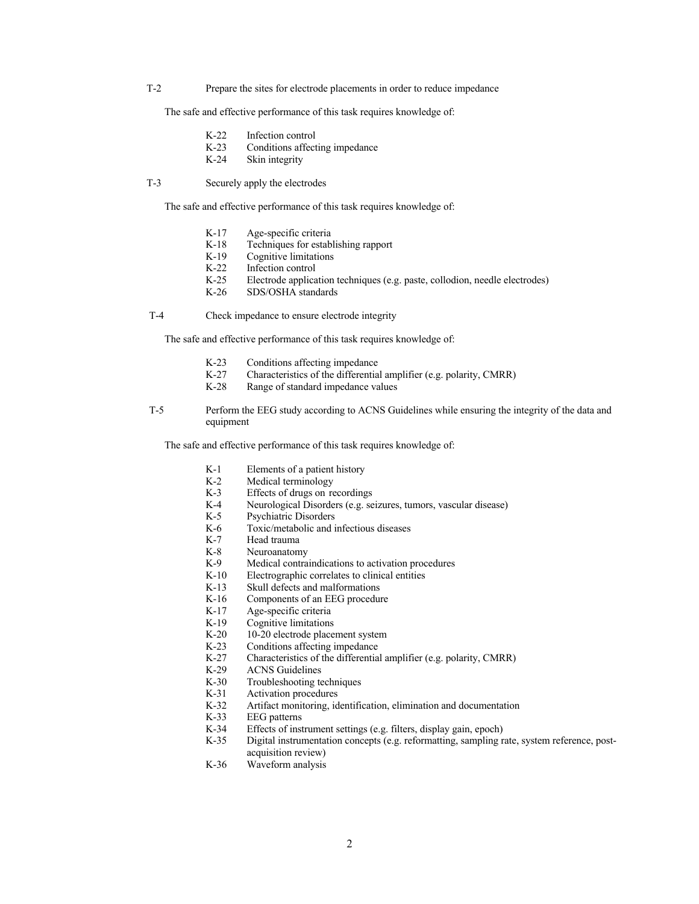T-2 Prepare the sites for electrode placements in order to reduce impedance

The safe and effective performance of this task requires knowledge of:

- K-22 Infection control
- K-23 Conditions affecting impedance
- K-24 Skin integrity
- T-3 Securely apply the electrodes

The safe and effective performance of this task requires knowledge of:

- K-17 Age-specific criteria<br>K-18 Techniques for estable
- K-18 Techniques for establishing rapport<br>K-19 Cognitive limitations
- Cognitive limitations
- K-22 Infection control
- K-25 Electrode application techniques (e.g. paste, collodion, needle electrodes)
- K-26 SDS/OSHA standards

T-4 Check impedance to ensure electrode integrity

The safe and effective performance of this task requires knowledge of:

- K-23 Conditions affecting impedance
- K-27 Characteristics of the differential amplifier (e.g. polarity, CMRR)
- K-28 Range of standard impedance values
- T-5 Perform the EEG study according to ACNS Guidelines while ensuring the integrity of the data and equipment

- K-1 Elements of a patient history<br>K-2 Medical terminology
- K-2 Medical terminology<br>K-3 Effects of drugs on re
- K-3 Effects of drugs on recordings<br>K-4 Neurological Disorders (e.g. se
- Neurological Disorders (e.g. seizures, tumors, vascular disease)
	- K-5 Psychiatric Disorders
	- K-6 Toxic/metabolic and infectious diseases
	- K-7 Head trauma
	- K-8 Neuroanatomy<br>K-9 Medical contra
	- Medical contraindications to activation procedures
	- K-10 Electrographic correlates to clinical entities
	- K-13 Skull defects and malformations
	- K-16 Components of an EEG procedure
	- K-17 Age-specific criteria
	- K-19 Cognitive limitations
	- K-20 10-20 electrode placement system<br>K-23 Conditions affecting impedance
	- K-23 Conditions affecting impedance<br>K-27 Characteristics of the differential
	- Characteristics of the differential amplifier (e.g. polarity, CMRR)
	- K-29 ACNS Guidelines
	- K-30 Troubleshooting techniques<br>K-31 Activation procedures
	- Activation procedures
	- K-32 Artifact monitoring, identification, elimination and documentation
	- K-33 EEG patterns
	- K-34 Effects of instrument settings (e.g. filters, display gain, epoch)<br>K-35 Digital instrumentation concepts (e.g. reformatting, sampling r
	- Digital instrumentation concepts (e.g. reformatting, sampling rate, system reference, postacquisition review)
	- K-36 Waveform analysis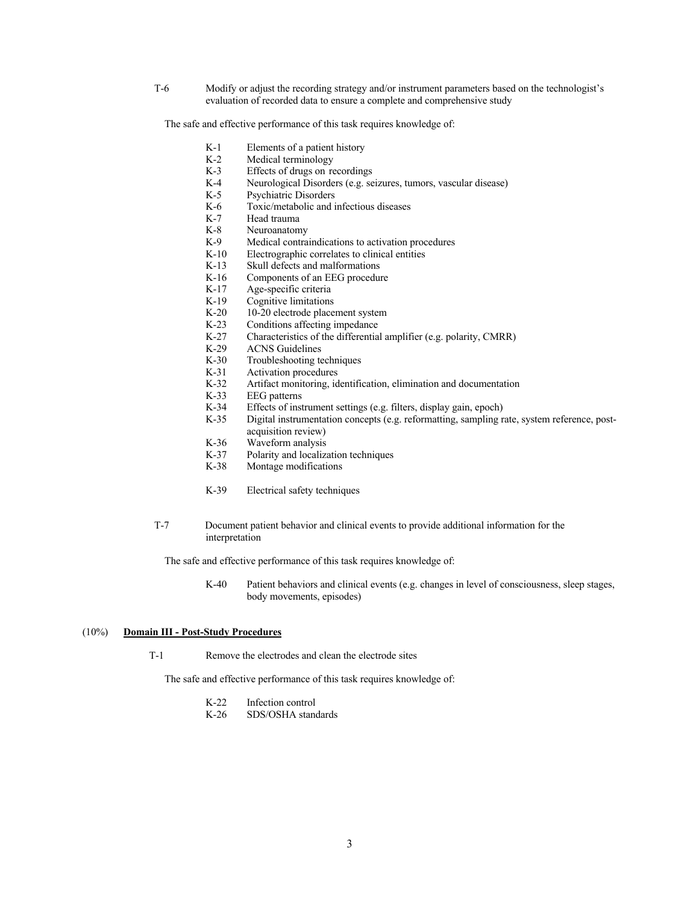T-6 Modify or adjust the recording strategy and/or instrument parameters based on the technologist's evaluation of recorded data to ensure a complete and comprehensive study

The safe and effective performance of this task requires knowledge of:

- K-1 Elements of a patient history
- K-2 Medical terminology
- K-3 Effects of drugs on recordings
- K-4 Neurological Disorders (e.g. seizures, tumors, vascular disease)
	- K-5 Psychiatric Disorders<br>K-6 Toxic/metabolic and i
	- Toxic/metabolic and infectious diseases
	- K-7 Head trauma
	- K-8 Neuroanatomy
	- K-9 Medical contraindications to activation procedures
	- K-10 Electrographic correlates to clinical entities
	- K-13 Skull defects and malformations
	- K-16 Components of an EEG procedure
	- K-17 Age-specific criteria
	- K-19 Cognitive limitations<br>K-20 10-20 electrode place
	- 10-20 electrode placement system
	- K-23 Conditions affecting impedance
- K-27 Characteristics of the differential amplifier (e.g. polarity, CMRR)<br>K-29 ACNS Guidelines
- K-29 ACNS Guidelines<br>K-30 Troubleshooting to
- K-30 Troubleshooting techniques<br>K-31 Activation procedures
- K-31 Activation procedures<br>K-32 Artifact monitoring, id
- Artifact monitoring, identification, elimination and documentation
- K-33 EEG patterns<br>K-34 Effects of inst
- Effects of instrument settings (e.g. filters, display gain, epoch)
- K-35 Digital instrumentation concepts (e.g. reformatting, sampling rate, system reference, postacquisition review)
- K-36 Waveform analysis
- K-37 Polarity and localization techniques
- K-38 Montage modifications
- K-39 Electrical safety techniques
- T-7 Document patient behavior and clinical events to provide additional information for the interpretation

The safe and effective performance of this task requires knowledge of:

K-40 Patient behaviors and clinical events (e.g. changes in level of consciousness, sleep stages, body movements, episodes)

#### (10%) **Domain III - Post-Study Procedures**

T-1 Remove the electrodes and clean the electrode sites

- K-22 Infection control<br>K-26 SDS/OSHA stand
- SDS/OSHA standards